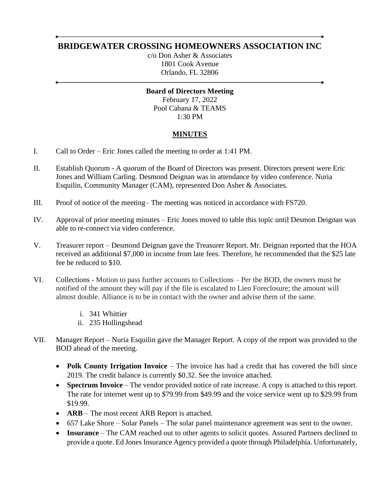## **BRIDGEWATER CROSSING HOMEOWNERS ASSOCIATION INC**

c/o Don Asher & Associates 1801 Cook Avenue Orlando, FL 32806

**Board of Directors Meeting** February 17, 2022 Pool Cabana & TEAMS 1:30 PM

## **MINUTES**

- I. Call to Order Eric Jones called the meeting to order at 1:41 PM.
- II. Establish Quorum A quorum of the Board of Directors was present. Directors present were Eric Jones and William Carling. Desmond Deignan was in attendance by video conference. Nuria Esquilin, Community Manager (CAM), represented Don Asher & Associates.
- III. Proof of notice of the meeting– The meeting was noticed in accordance with FS720.
- IV. Approval of prior meeting minutes Eric Jones moved to table this topic until Desmon Deignan was able to re-connect via video conference.
- V. Treasurer report Desmond Deignan gave the Treasurer Report. Mr. Deignan reported that the HOA received an additional \$7,000 in income from late fees. Therefore, he recommended that the \$25 late fee be reduced to \$10.
- VI. Collections Motion to pass further accounts to Collections Per the BOD, the owners must be notified of the amount they will pay if the file is escalated to Lien Foreclosure; the amount will almost double. Alliance is to be in contact with the owner and advise them of the same.
	- i. 341 Whittier
	- ii. 235 Hollingshead
- VII. Manager Report Nuria Esquilin gave the Manager Report. A copy of the report was provided to the BOD ahead of the meeting.
	- **Polk County Irrigation Invoice** The invoice has had a credit that has covered the bill since 2019. The credit balance is currently \$0.32. See the invoice attached.
	- **Spectrum Invoice** The vendor provided notice of rate increase. A copy is attached to this report. The rate for internet went up to \$79.99 from \$49.99 and the voice service went up to \$29.99 from \$19.99.
	- **ARB** The most recent ARB Report is attached.
	- 657 Lake Shore Solar Panels The solar panel maintenance agreement was sent to the owner.
	- **Insurance**  The CAM reached out to other agents to solicit quotes. Assured Partners declined to provide a quote. Ed Jones Insurance Agency provided a quote through Philadelphia. Unfortunately,